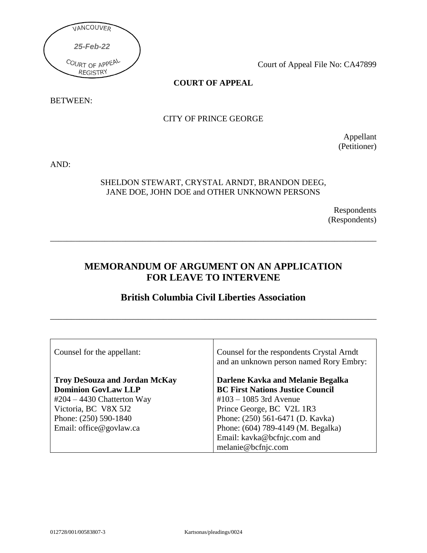

Court of Appeal File No: CA47899

# **COURT OF APPEAL**

BETWEEN:

# CITY OF PRINCE GEORGE

Appellant (Petitioner)

AND:

### SHELDON STEWART, CRYSTAL ARNDT, BRANDON DEEG, JANE DOE, JOHN DOE and OTHER UNKNOWN PERSONS

Respondents (Respondents)

# **MEMORANDUM OF ARGUMENT ON AN APPLICATION FOR LEAVE TO INTERVENE**

\_\_\_\_\_\_\_\_\_\_\_\_\_\_\_\_\_\_\_\_\_\_\_\_\_\_\_\_\_\_\_\_\_\_\_\_\_\_\_\_\_\_\_\_\_\_\_\_\_\_\_\_\_\_\_\_\_\_\_\_\_\_\_\_\_\_\_\_\_\_\_\_\_\_\_\_\_\_

# **British Columbia Civil Liberties Association**

\_\_\_\_\_\_\_\_\_\_\_\_\_\_\_\_\_\_\_\_\_\_\_\_\_\_\_\_\_\_\_\_\_\_\_\_\_\_\_\_\_\_\_\_\_\_\_\_\_\_\_\_\_\_\_\_\_\_\_\_\_\_\_\_\_\_\_\_\_\_\_\_\_\_\_\_\_\_

| Counsel for the appellant:           | Counsel for the respondents Crystal Arndt<br>and an unknown person named Rory Embry: |
|--------------------------------------|--------------------------------------------------------------------------------------|
| <b>Troy DeSouza and Jordan McKay</b> | Darlene Kavka and Melanie Begalka                                                    |
| <b>Dominion GovLaw LLP</b>           | <b>BC First Nations Justice Council</b>                                              |
| $#204 - 4430$ Chatterton Way         | $\text{\#}103 - 1085$ 3rd Avenue                                                     |
| Victoria, BC V8X 5J2                 | Prince George, BC V2L 1R3                                                            |
| Phone: (250) 590-1840                | Phone: (250) 561-6471 (D. Kavka)                                                     |
| Email: office@govlaw.ca              | Phone: (604) 789-4149 (M. Begalka)                                                   |
|                                      | Email: kavka@bcfnjc.com and                                                          |
|                                      | melanie@bcfnjc.com                                                                   |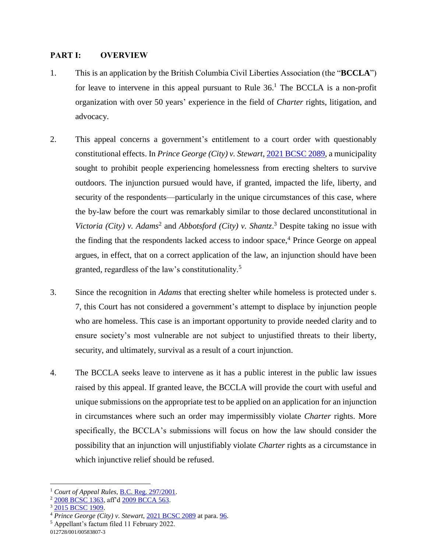#### **PART I: OVERVIEW**

- 1. This is an application by the British Columbia Civil Liberties Association (the "**BCCLA**") for leave to intervene in this appeal pursuant to Rule 36. <sup>1</sup> The BCCLA is a non-profit organization with over 50 years' experience in the field of *Charter* rights, litigation, and advocacy.
- 2. This appeal concerns a government's entitlement to a court order with questionably constitutional effects. In *Prince George (City) v. Stewart*, [2021 BCSC 2089,](https://canlii.ca/t/jjzl4) a municipality sought to prohibit people experiencing homelessness from erecting shelters to survive outdoors. The injunction pursued would have, if granted, impacted the life, liberty, and security of the respondents—particularly in the unique circumstances of this case, where the by-law before the court was remarkably similar to those declared unconstitutional in Victoria (City) v. Adams<sup>2</sup> and *Abbotsford (City) v. Shantz*.<sup>3</sup> Despite taking no issue with the finding that the respondents lacked access to indoor space, <sup>4</sup> Prince George on appeal argues, in effect, that on a correct application of the law, an injunction should have been granted, regardless of the law's constitutionality.<sup>5</sup>
- 3. Since the recognition in *Adams* that erecting shelter while homeless is protected under s. 7, this Court has not considered a government's attempt to displace by injunction people who are homeless. This case is an important opportunity to provide needed clarity and to ensure society's most vulnerable are not subject to unjustified threats to their liberty, security, and ultimately, survival as a result of a court injunction.
- 4. The BCCLA seeks leave to intervene as it has a public interest in the public law issues raised by this appeal. If granted leave, the BCCLA will provide the court with useful and unique submissions on the appropriate test to be applied on an application for an injunction in circumstances where such an order may impermissibly violate *Charter* rights. More specifically, the BCCLA's submissions will focus on how the law should consider the possibility that an injunction will unjustifiably violate *Charter* rights as a circumstance in which injunctive relief should be refused.

012728/001/00583807-3

 $\overline{a}$ <sup>1</sup> *Court of Appeal Rules*, [B.C. Reg. 297/2001.](https://canlii.ca/t/53h3h)

<sup>&</sup>lt;sup>2</sup> [2008 BCSC 1363,](https://canlii.ca/t/215hs) aff'd [2009 BCCA 563.](https://canlii.ca/t/23816)

<sup>&</sup>lt;sup>3</sup> 2015 BCSC 1909.

<sup>4</sup> *Prince George (City) v. Stewart*, [2021 BCSC 2089](https://canlii.ca/t/jjzl4) at para. [96.](https://canlii.ca/t/jjzl4#par96)

<sup>5</sup> Appellant's factum filed 11 February 2022.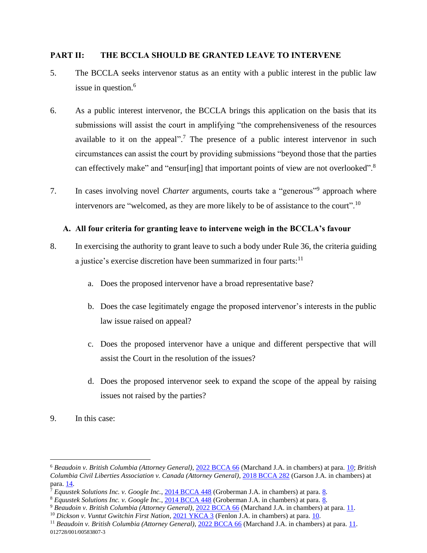#### **PART II: THE BCCLA SHOULD BE GRANTED LEAVE TO INTERVENE**

- 5. The BCCLA seeks intervenor status as an entity with a public interest in the public law issue in question. 6
- 6. As a public interest intervenor, the BCCLA brings this application on the basis that its submissions will assist the court in amplifying "the comprehensiveness of the resources available to it on the appeal".<sup>7</sup> The presence of a public interest intervenor in such circumstances can assist the court by providing submissions "beyond those that the parties can effectively make" and "ensur[ing] that important points of view are not overlooked".<sup>8</sup>
- 7. In cases involving novel *Charter* arguments, courts take a "generous"<sup>9</sup> approach where intervenors are "welcomed, as they are more likely to be of assistance to the court".<sup>10</sup>

# **A. All four criteria for granting leave to intervene weigh in the BCCLA's favour**

- 8. In exercising the authority to grant leave to such a body under Rule 36, the criteria guiding a justice's exercise discretion have been summarized in four parts:<sup>11</sup>
	- a. Does the proposed intervenor have a broad representative base?
	- b. Does the case legitimately engage the proposed intervenor's interests in the public law issue raised on appeal?
	- c. Does the proposed intervenor have a unique and different perspective that will assist the Court in the resolution of the issues?
	- d. Does the proposed intervenor seek to expand the scope of the appeal by raising issues not raised by the parties?
- 9. In this case:

<sup>6</sup> *Beaudoin v. British Columbia (Attorney General)*, [2022 BCCA 66](https://canlii.ca/t/jmggz) (Marchand J.A. in chambers) at para. [10;](https://canlii.ca/t/jmggz#par10) *British Columbia Civil Liberties Association v. Canada (Attorney General)*, [2018 BCCA 282](https://canlii.ca/t/ht4zq) (Garson J.A. in chambers) at para. [14.](https://canlii.ca/t/ht4zq#par14)

<sup>7</sup> *Equustek Solutions Inc. v. Google Inc.*, [2014 BCCA 448](https://canlii.ca/t/gfdfz) (Groberman J.A. in chambers) at para. [8.](https://canlii.ca/t/gfdfz#par8)

<sup>8</sup> *Equustek Solutions Inc. v. Google Inc.*, [2014 BCCA 448](https://canlii.ca/t/gfdfz) (Groberman J.A. in chambers) at para. [8.](https://canlii.ca/t/gfdfz#par8)

<sup>9</sup> *Beaudoin v. British Columbia (Attorney General)*, [2022 BCCA 66](https://canlii.ca/t/jmggz) (Marchand J.A. in chambers) at para. [11.](https://canlii.ca/t/jmggz#par11)

<sup>10</sup> *Dickson v. Vuntut Gwitchin First Nation*, [2021 YKCA 3](https://canlii.ca/t/jdkn1) (Fenlon J.A. in chambers) at para[. 10.](https://canlii.ca/t/jdkn1#par10)

<sup>012728/001/00583807-3</sup> <sup>11</sup> Beaudoin v. British Columbia (Attorney General), [2022 BCCA 66](https://canlii.ca/t/jmggz) (Marchand J.A. in chambers) at para. [11.](https://canlii.ca/t/jmggz#par11)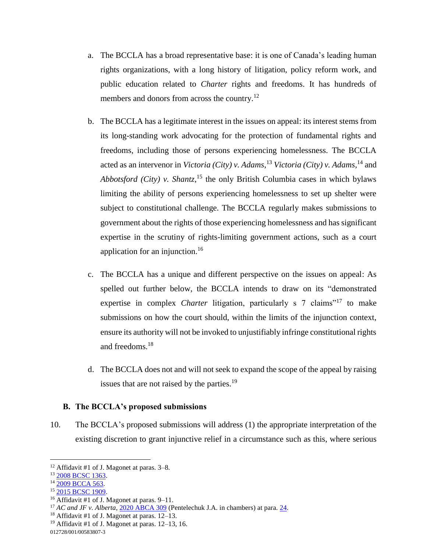- a. The BCCLA has a broad representative base: it is one of Canada's leading human rights organizations, with a long history of litigation, policy reform work, and public education related to *Charter* rights and freedoms. It has hundreds of members and donors from across the country.<sup>12</sup>
- b. The BCCLA has a legitimate interest in the issues on appeal: its interest stems from its long-standing work advocating for the protection of fundamental rights and freedoms, including those of persons experiencing homelessness. The BCCLA acted as an intervenor in *Victoria (City) v. Adams*, <sup>13</sup> *Victoria (City) v. Adams*, <sup>14</sup> and *Abbotsford (City) v. Shantz*, <sup>15</sup> the only British Columbia cases in which bylaws limiting the ability of persons experiencing homelessness to set up shelter were subject to constitutional challenge. The BCCLA regularly makes submissions to government about the rights of those experiencing homelessness and has significant expertise in the scrutiny of rights-limiting government actions, such as a court application for an injunction.<sup>16</sup>
- c. The BCCLA has a unique and different perspective on the issues on appeal: As spelled out further below, the BCCLA intends to draw on its "demonstrated expertise in complex *Charter* litigation, particularly s 7 claims<sup>"17</sup> to make submissions on how the court should, within the limits of the injunction context, ensure its authority will not be invoked to unjustifiably infringe constitutional rights and freedoms.<sup>18</sup>
- d. The BCCLA does not and will not seek to expand the scope of the appeal by raising issues that are not raised by the parties.<sup>19</sup>

#### **B. The BCCLA's proposed submissions**

10. The BCCLA's proposed submissions will address (1) the appropriate interpretation of the existing discretion to grant injunctive relief in a circumstance such as this, where serious

 $\overline{a}$ 

<sup>19</sup> Affidavit #1 of J. Magonet at paras.  $12-13$ , 16.

012728/001/00583807-3

<sup>12</sup> Affidavit #1 of J. Magonet at paras. 3–8.

<sup>&</sup>lt;sup>13</sup> [2008 BCSC 1363.](https://canlii.ca/t/215hs)

<sup>&</sup>lt;sup>14</sup> [2009 BCCA 563.](https://canlii.ca/t/23816)

<sup>&</sup>lt;sup>15</sup> [2015 BCSC 1909.](https://canlii.ca/t/glps4)

<sup>&</sup>lt;sup>16</sup> Affidavit #1 of J. Magonet at paras.  $9-11$ .

<sup>17</sup> *AC and JF v. Alberta*, [2020 ABCA 309](https://canlii.ca/t/j9hw6) (Pentelechuk J.A. in chambers) at para. [24.](https://canlii.ca/t/j9hw6#par24)

<sup>&</sup>lt;sup>18</sup> Affidavit #1 of J. Magonet at paras.  $12-13$ .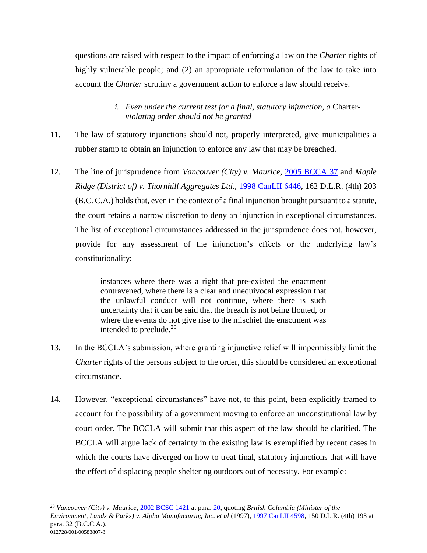questions are raised with respect to the impact of enforcing a law on the *Charter* rights of highly vulnerable people; and (2) an appropriate reformulation of the law to take into account the *Charter* scrutiny a government action to enforce a law should receive.

# *i. Even under the current test for a final, statutory injunction, a* Charter*violating order should not be granted*

- 11. The law of statutory injunctions should not, properly interpreted, give municipalities a rubber stamp to obtain an injunction to enforce any law that may be breached.
- 12. The line of jurisprudence from *Vancouver (City) v. Maurice*, [2005 BCCA 37](https://canlii.ca/t/1jm2v) and *Maple Ridge (District of) v. Thornhill Aggregates Ltd.*, [1998 CanLII 6446,](https://canlii.ca/t/1dxx6) 162 D.L.R. (4th) 203 (B.C. C.A.) holds that, even in the context of a final injunction brought pursuant to a statute, the court retains a narrow discretion to deny an injunction in exceptional circumstances. The list of exceptional circumstances addressed in the jurisprudence does not, however, provide for any assessment of the injunction's effects or the underlying law's constitutionality:

instances where there was a right that pre-existed the enactment contravened, where there is a clear and unequivocal expression that the unlawful conduct will not continue, where there is such uncertainty that it can be said that the breach is not being flouted, or where the events do not give rise to the mischief the enactment was intended to preclude.<sup>20</sup>

- 13. In the BCCLA's submission, where granting injunctive relief will impermissibly limit the *Charter rights* of the persons subject to the order, this should be considered an exceptional circumstance.
- 14. However, "exceptional circumstances" have not, to this point, been explicitly framed to account for the possibility of a government moving to enforce an unconstitutional law by court order. The BCCLA will submit that this aspect of the law should be clarified. The BCCLA will argue lack of certainty in the existing law is exemplified by recent cases in which the courts have diverged on how to treat final, statutory injunctions that will have the effect of displacing people sheltering outdoors out of necessity. For example:

<sup>012728/001/00583807-3</sup> <sup>20</sup> *Vancouver (City) v. Maurice*, [2002 BCSC 1421](https://canlii.ca/t/583w) at para. [20,](https://canlii.ca/t/583w#par20) quoting *British Columbia (Minister of the Environment, Lands & Parks) v. Alpha Manufacturing Inc. et al* (1997), [1997 CanLII 4598,](https://canlii.ca/t/1dzgw) 150 D.L.R. (4th) 193 at para. 32 (B.C.C.A.).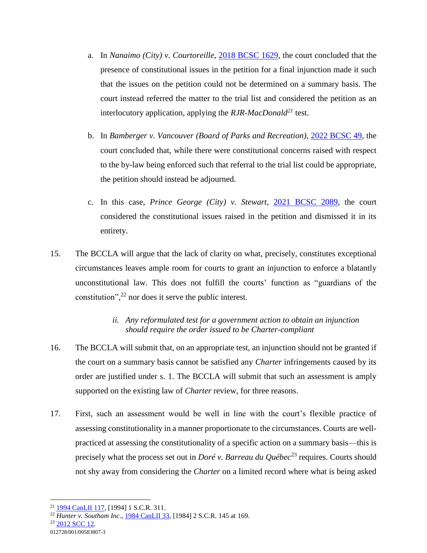- a. In *Nanaimo (City) v. Courtoreille*, [2018 BCSC 1629,](https://canlii.ca/t/hv79v) the court concluded that the presence of constitutional issues in the petition for a final injunction made it such that the issues on the petition could not be determined on a summary basis. The court instead referred the matter to the trial list and considered the petition as an interlocutory application, applying the *RJR-MacDonald<sup>21</sup>* test.
- b. In *Bamberger v. Vancouver (Board of Parks and Recreation)*, [2022 BCSC 49,](https://canlii.ca/t/jlqf6) the court concluded that, while there were constitutional concerns raised with respect to the by-law being enforced such that referral to the trial list could be appropriate, the petition should instead be adjourned.
- c. In this case, *Prince George (City) v. Stewart*, [2021 BCSC 2089,](https://canlii.ca/t/jjzl4) the court considered the constitutional issues raised in the petition and dismissed it in its entirety.
- 15. The BCCLA will argue that the lack of clarity on what, precisely, constitutes exceptional circumstances leaves ample room for courts to grant an injunction to enforce a blatantly unconstitutional law. This does not fulfill the courts' function as "guardians of the constitution", <sup>22</sup> nor does it serve the public interest.

# *ii. Any reformulated test for a government action to obtain an injunction should require the order issued to be Charter-compliant*

- 16. The BCCLA will submit that, on an appropriate test, an injunction should not be granted if the court on a summary basis cannot be satisfied any *Charter* infringements caused by its order are justified under s. 1. The BCCLA will submit that such an assessment is amply supported on the existing law of *Charter* review, for three reasons.
- 17. First, such an assessment would be well in line with the court's flexible practice of assessing constitutionality in a manner proportionate to the circumstances. Courts are wellpracticed at assessing the constitutionality of a specific action on a summary basis—this is precisely what the process set out in *Doré v. Barreau du Québec*<sup>23</sup> requires. Courts should not shy away from considering the *Charter* on a limited record where what is being asked

<sup>21</sup> [1994 CanLII 117,](https://canlii.ca/t/1frtw) [1994] 1 S.C.R. 311.

<sup>22</sup> *Hunter v. Southam Inc*., [1984 CanLII 33,](https://canlii.ca/t/1mgc1) [1984] 2 S.C.R. 145 at 169.

<sup>012728/001/00583807-3</sup>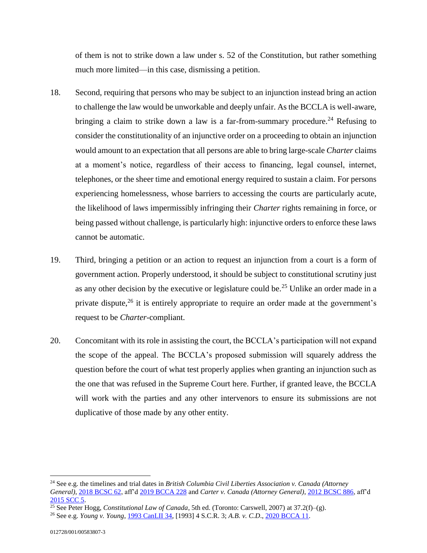of them is not to strike down a law under s. 52 of the Constitution, but rather something much more limited—in this case, dismissing a petition.

- 18. Second, requiring that persons who may be subject to an injunction instead bring an action to challenge the law would be unworkable and deeply unfair. As the BCCLA is well-aware, bringing a claim to strike down a law is a far-from-summary procedure.<sup>24</sup> Refusing to consider the constitutionality of an injunctive order on a proceeding to obtain an injunction would amount to an expectation that all persons are able to bring large-scale *Charter* claims at a moment's notice, regardless of their access to financing, legal counsel, internet, telephones, or the sheer time and emotional energy required to sustain a claim. For persons experiencing homelessness, whose barriers to accessing the courts are particularly acute, the likelihood of laws impermissibly infringing their *Charter* rights remaining in force, or being passed without challenge, is particularly high: injunctive orders to enforce these laws cannot be automatic.
- 19. Third, bringing a petition or an action to request an injunction from a court is a form of government action. Properly understood, it should be subject to constitutional scrutiny just as any other decision by the executive or legislature could be.<sup>25</sup> Unlike an order made in a private dispute,  $26$  it is entirely appropriate to require an order made at the government's request to be *Charter*-compliant.
- 20. Concomitant with its role in assisting the court, the BCCLA's participation will not expand the scope of the appeal. The BCCLA's proposed submission will squarely address the question before the court of what test properly applies when granting an injunction such as the one that was refused in the Supreme Court here. Further, if granted leave, the BCCLA will work with the parties and any other intervenors to ensure its submissions are not duplicative of those made by any other entity.

<sup>24</sup> See e.g. the timelines and trial dates in *British Columbia Civil Liberties Association v. Canada (Attorney General)*, [2018 BCSC 62,](https://canlii.ca/t/hprxx) aff'[d 2019 BCCA 228](https://canlii.ca/t/j14gg) and *Carter v. Canada (Attorney General)*, [2012 BCSC 886,](https://canlii.ca/t/frpws) aff'd [2015 SCC 5.](https://canlii.ca/t/gg5z4)

<sup>25</sup> See Peter Hogg, *Constitutional Law of Canada*, 5th ed. (Toronto: Carswell, 2007) at 37.2(f)–(g).

<sup>26</sup> See e.g. *Young v. Young*, [1993 CanLII 34,](https://canlii.ca/t/1frwv) [1993] 4 S.C.R. 3; *A.B. v. C.D*.[, 2020 BCCA 11.](https://canlii.ca/t/j4gnl)